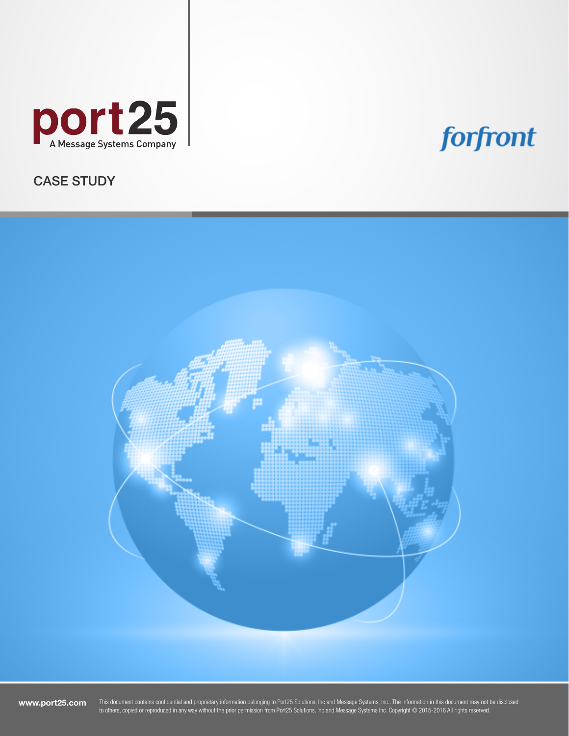

# forfront

CASE STUDY



www.port25.com

This document contains confidential and proprietary information belonging to Port25 Solutions, Inc and Message Systems, Inc.. The information in this document may not be disclosed to others, copied or reproduced in any way without the prior permission from Port25 Solutions, Inc and Message Systems Inc. Copyright © 2015-2016 All rights reserved.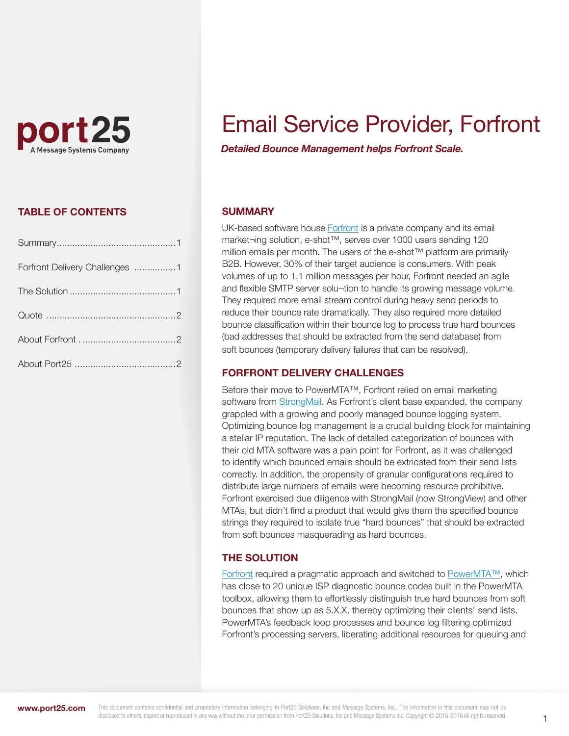

# Email Service Provider, Forfront

*Detailed Bounce Management helps Forfront Scale.* 

## TABLE OF CONTENTS

| Forfront Delivery Challenges 1 |  |
|--------------------------------|--|
|                                |  |
|                                |  |
|                                |  |
|                                |  |

### **SUMMARY**

UK-based software house **Forfront** is a private company and its email market¬ing solution, e-shot™, serves over 1000 users sending 120 million emails per month. The users of the e-shot™ platform are primarily B2B. However, 30% of their target audience is consumers. With peak volumes of up to 1.1 million messages per hour, Forfront needed an agile and flexible SMTP server solu-tion to handle its growing message volume. They required more email stream control during heavy send periods to reduce their bounce rate dramatically. They also required more detailed bounce classification within their bounce log to process true hard bounces (bad addresses that should be extracted from the send database) from soft bounces (temporary delivery failures that can be resolved).

#### FORFRONT DELIVERY CHALLENGES

Before their move to PowerMTA™, Forfront relied on email marketing software from [StrongMail.](http://www.strongview.com/) As Forfront's client base expanded, the company grappled with a growing and poorly managed bounce logging system. Optimizing bounce log management is a crucial building block for maintaining a stellar IP reputation. The lack of detailed categorization of bounces with their old MTA software was a pain point for Forfront, as it was challenged to identify which bounced emails should be extricated from their send lists correctly. In addition, the propensity of granular configurations required to distribute large numbers of emails were becoming resource prohibitive. Forfront exercised due diligence with StrongMail (now StrongView) and other MTAs, but didn't find a product that would give them the specified bounce strings they required to isolate true "hard bounces" that should be extracted from soft bounces masquerading as hard bounces.

#### THE SOLUTION

[Forfront r](http://www.forfront.com/)equired a pragmatic approach and switched t[o PowerMTA™,](http://www.port25.com/evaluate-now/) which has close to 20 unique ISP diagnostic bounce codes built in the PowerMTA toolbox, allowing them to effortlessly distinguish true hard bounces from soft bounces that show up as 5.X.X, thereby optimizing their clients' send lists. PowerMTA's feedback loop processes and bounce log filtering optimized Forfront's processing servers, liberating additional resources for queuing and